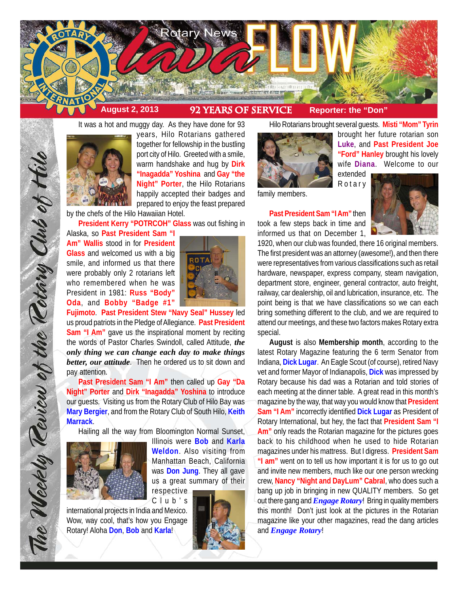

It was a hot and muggy day. As they have done for 93



years, Hilo Rotarians gathered together for fellowship in the bustling port city of Hilo. Greeted with a smile, warm handshake and hug by **Dirk "Inagadda" Yoshina** and **Gay "the Night" Porter**, the Hilo Rotarians happily accepted their badges and prepared to enjoy the feast prepared

by the chefs of the Hilo Hawaiian Hotel.

**President Kerry "POTRCOH" Glass** was out fishing in

Alaska, so **Past President Sam "I Am" Wallis** stood in for **President Glass** and welcomed us with a big smile, and informed us that there were probably only 2 rotarians left who remembered when he was President in 1981: **Russ "Body" Oda**, and **Bobby "Badge #1"**



**Fujimoto**. **Past President Stew "Navy Seal" Hussey** led us proud patriots in the Pledge of Allegiance. **Past President Sam "I Am"** gave us the inspirational moment by reciting the words of Pastor Charles Swindoll, called Attitude, *the only thing we can change each day to make things better, our attitude*. Then he ordered us to sit down and pay attention.

**Past President Sam "I Am"** then called up **Gay "Da Night" Porter** and **Dirk "Inagadda" Yoshina** to introduce our guests. Visiting us from the Rotary Club of Hilo Bay was **Mary Bergier**, and from the Rotary Club of South Hilo, **Keith Marrack**.

Hailing all the way from Bloomington Normal Sunset,



The Weekly Teview of the Tetary Club of Hilo

Illinois were **Bob** and **Karla Weldon**. Also visiting from Manhattan Beach, California was **Don Jung**. They all gave us a great summary of their respective

international projects in India and Mexico. Wow, way cool, that's how you Engage Rotary! Aloha **Don**, **Bob** and **Karla**!



Hilo Rotarians brought several guests. **Misti "Mom" Tyrin**



family members.

**Past President Sam "I Am"** then took a few steps back in time and informed us that on December 1,



brought her future rotarian son **Luke**, and **Past President Joe "Ford" Hanley** brought his lovely wife **Diana**. Welcome to our

1920, when our club was founded, there 16 original members. The first president was an attorney (awesome!), and then there were representatives from various classifications such as retail hardware, newspaper, express company, steam navigation, department store, engineer, general contractor, auto freight, railway, car dealership, oil and lubrication, insurance, etc. The point being is that we have classifications so we can each bring something different to the club, and we are required to attend our meetings, and these two factors makes Rotary extra special.

**August** is also **Membership month**, according to the latest Rotary Magazine featuring the 6 term Senator from Indiana, **Dick Lugar**. An Eagle Scout (of course), retired Navy vet and former Mayor of Indianapolis, **Dick** was impressed by Rotary because his dad was a Rotarian and told stories of each meeting at the dinner table. A great read in this month's magazine by the way, that way you would know that **President Sam "I Am"** incorrectly identified **Dick Lugar** as President of Rotary International, but hey, the fact that **President Sam "I Am"** only reads the Rotarian magazine for the pictures goes back to his childhood when he used to hide Rotarian magazines under his mattress. But I digress. **President Sam "I am"** went on to tell us how important it is for us to go out and invite new members, much like our one person wrecking crew, **Nancy "Night and DayLum" Cabral**, who does such a bang up job in bringing in new QUALITY members. So get out there gang and *Engage Rotary*! Bring in quality members this month! Don't just look at the pictures in the Rotarian magazine like your other magazines, read the dang articles and *Engage Rotary*!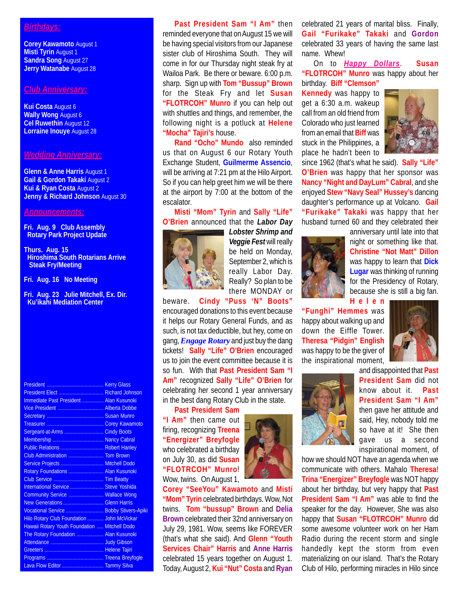## *Birthdays:*

**Corey Kawamoto** August 1 **Misti Tyrin** August 1 **Sandra Song** August 27 **Jerry Watanabe** August 28

### *Club Anniversary:*

**Kui Costa** August 6 **Wally Wong** August 6 **Cel Ruwethin** August 12 **Lorraine Inouye** August 28

#### *Wedding Anniversary:*

**Glenn & Anne Harris** August 1 **Gail & Gordon Takaki** August 2 **Kui & Ryan Costa** August 2 **Jenny & Richard Johnson August 30** 

### *Announcements:*

**Fri. Aug. 9 Club Assembly Rotary Park Project Update**

**Thurs. Aug. 15 Hiroshima South Rotarians Arrive Steak Fry/Meeting**

**Fri. Aug. 16 No Meeting**

**Fri. Aug. 23 Julie Mitchell, Ex. Dir. Ku'ikahi Mediation Center**

| President Elect  Richard Johnson              |  |
|-----------------------------------------------|--|
| Immediate Past President  Alan Kusunoki       |  |
| Vice President  Alberta Dobbe                 |  |
|                                               |  |
|                                               |  |
| Sergeant-at-Arms  Cindy Boots                 |  |
|                                               |  |
| Public Relations  Robert Hanley               |  |
| Club Administration  Tom Brown                |  |
| Service Projects  Mitchell Dodo               |  |
| Rotary Foundations  Alan Kusunoki             |  |
|                                               |  |
| International Service  Steve Yoshida          |  |
| Community Service  Wallace Wong               |  |
| New Generations  Glenn Harris                 |  |
| Vocational Service  Bobby Stivers-Apiki       |  |
| Hilo Rotary Club Foundation  John McVickar    |  |
| Hawaii Rotary Youth Foundation  Mitchell Dodo |  |
| The Rotary Foundation  Alan Kusunoki          |  |
|                                               |  |
|                                               |  |
|                                               |  |
| Lava Flow Editor  Tammy Silva                 |  |

**Past President Sam "I Am"** then reminded everyone that on August 15 we will be having special visitors from our Japanese sister club of Hiroshima South. They will come in for our Thursday night steak fry at Wailoa Park. Be there or beware. 6:00 p.m. sharp. Sign up with **Tom "Bussup" Brown** for the Steak Fry and let **Susan "FLOTRCOH" Munro** if you can help out with shuttles and things, and remember, the following night is a potluck at **Helene "Mocha" Tajiri's** house.

**Rand "Ocho" Mundo** also reminded us that on August 6 our Rotary Youth Exchange Student, **Guilmerme Assencio**, will be arriving at 7:21 pm at the Hilo Airport. So if you can help greet him we will be there at the airport by 7:00 at the bottom of the escalator.

# **Misti "Mom" Tyrin** and **Sally "Life" O'Brien** announced that the *Labor Day*



*Lobster Shrimp and Veggie Fest* will really be held on Monday, September 2, which is really Labor Day. Really? So plan to be there MONDAY or

beware. **Cindy "Puss 'N" Boots"** encouraged donations to this event because it helps our Rotary General Funds, and as such, is not tax deductible, but hey, come on gang, *Engage Rotary* and just buy the dang tickets! **Sally "Life" O'Brien** encouraged us to join the event committee because it is so fun. With that **Past President Sam "I Am"** recognized **Sally "Life" O'Brien** for celebrating her second 1 year anniversary in the best dang Rotary Club in the state.

**Past President Sam "I Am"** then came out firing, recognizing **Treena "Energizer" Breyfogle** who celebrated a birthday on July 30, as did **Susan "FLOTRCOH" Munro**! Wow, twins. On August 1,

**Corey "SeeYou" Kawamoto** and **Misti "Mom" Tyrin** celebrated birthdays. Wow, Not twins. **Tom "bussup" Brown** and **Delia Brown** celebrated their 32nd anniversary on July 29, 1981. Wow, seems like FOREVER (that's what she said). And **Glenn "Youth Services Chair" Harris** and **Anne Harris** celebrated 15 years together on August 1. Today, August 2, **Kui "Nut" Costa** and **Ryan** celebrated 21 years of marital bliss. Finally, **Gail "Furikake" Takaki** and **Gordon** celebrated 33 years of having the same last name. Whew!

On to *Happy Dollars*. **Susan "FLOTRCOH" Munro** was happy about her birthday. **Biff "Clemson"**

**Kennedy** was happy to get a 6:30 a.m. wakeup call from an old friend from Colorado who just learned from an email that **Biff** was stuck in the Philippines, a place he hadn't been to



since 1962 (that's what he said). **Sally "Life" O'Brien** was happy that her sponsor was **Nancy "Night and DayLum" Cabral**, and she enjoyed **Stew "Navy Seal" Hussey's** dancing daughter's performance up at Volcano. **Gail "Furikake" Takaki** was happy that her husband turned 60 and they celebrated their

anniversary until late into that



night or something like that. **Christine "Not Matt" Dillon** was happy to learn that **Dick Lugar** was thinking of running for the Presidency of Rotary, because she is still a big fan. **Helen**

**"Funghi" Hemmes** was happy about walking up and down the Eiffle Tower. **Theresa "Pidgin" English** was happy to be the giver of the inspirational moment,



and disappointed that **Past President Sam** did not know about it. **Past President Sam "I Am"** then gave her attitude and said, Hey, nobody told me so have at it! She then gave us a second inspirational moment, of

how we should NOT have an agenda when we communicate with others. Mahalo **Theresa**! **Trina "Energizer" Breyfogle** was NOT happy about her birthday, but very happy that **Past President Sam "I Am"** was able to find the speaker for the day. However, She was also happy that **Susan "FLOTRCOH" Munro** did some awesome volunteer work on her Ham Radio during the recent storm and single handedly kept the storm from even materializing on our island. That's the Rotary Club of Hilo, performing miracles in Hilo since